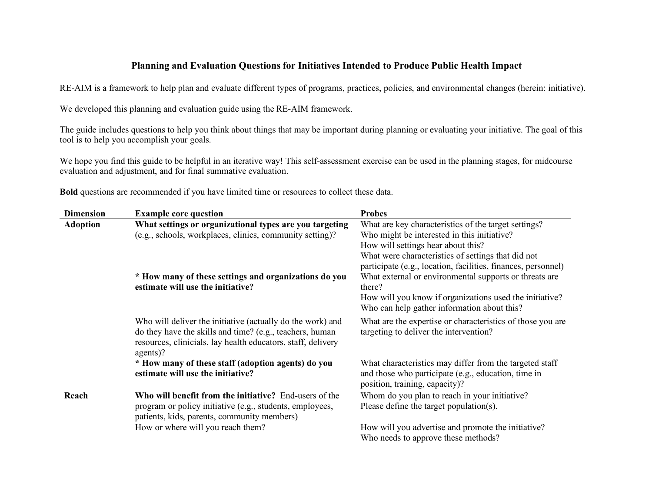## **Planning and Evaluation Questions for Initiatives Intended to Produce Public Health Impact**

RE-AIM is a framework to help plan and evaluate different types of programs, practices, policies, and environmental changes (herein: initiative).

We developed this planning and evaluation guide using the RE-AIM framework.

The guide includes questions to help you think about things that may be important during planning or evaluating your initiative. The goal of this tool is to help you accomplish your goals.

We hope you find this guide to be helpful in an iterative way! This self-assessment exercise can be used in the planning stages, for midcourse evaluation and adjustment, and for final summative evaluation.

| <b>Dimension</b> | <b>Example core question</b>                                                                                                                                                                       | <b>Probes</b>                                                                                                                                                                                                                               |
|------------------|----------------------------------------------------------------------------------------------------------------------------------------------------------------------------------------------------|---------------------------------------------------------------------------------------------------------------------------------------------------------------------------------------------------------------------------------------------|
| <b>Adoption</b>  | What settings or organizational types are you targeting<br>(e.g., schools, workplaces, clinics, community setting)?                                                                                | What are key characteristics of the target settings?<br>Who might be interested in this initiative?<br>How will settings hear about this?<br>What were characteristics of settings that did not                                             |
|                  | * How many of these settings and organizations do you<br>estimate will use the initiative?                                                                                                         | participate (e.g., location, facilities, finances, personnel)<br>What external or environmental supports or threats are<br>there?<br>How will you know if organizations used the initiative?<br>Who can help gather information about this? |
|                  | Who will deliver the initiative (actually do the work) and<br>do they have the skills and time? (e.g., teachers, human<br>resources, clinicials, lay health educators, staff, delivery<br>agents)? | What are the expertise or characteristics of those you are<br>targeting to deliver the intervention?                                                                                                                                        |
|                  | * How many of these staff (adoption agents) do you<br>estimate will use the initiative?                                                                                                            | What characteristics may differ from the targeted staff<br>and those who participate (e.g., education, time in<br>position, training, capacity)?                                                                                            |
| Reach            | Who will benefit from the initiative? End-users of the<br>program or policy initiative (e.g., students, employees,<br>patients, kids, parents, community members)                                  | Whom do you plan to reach in your initiative?<br>Please define the target population(s).                                                                                                                                                    |
|                  | How or where will you reach them?                                                                                                                                                                  | How will you advertise and promote the initiative?<br>Who needs to approve these methods?                                                                                                                                                   |

**Bold** questions are recommended if you have limited time or resources to collect these data.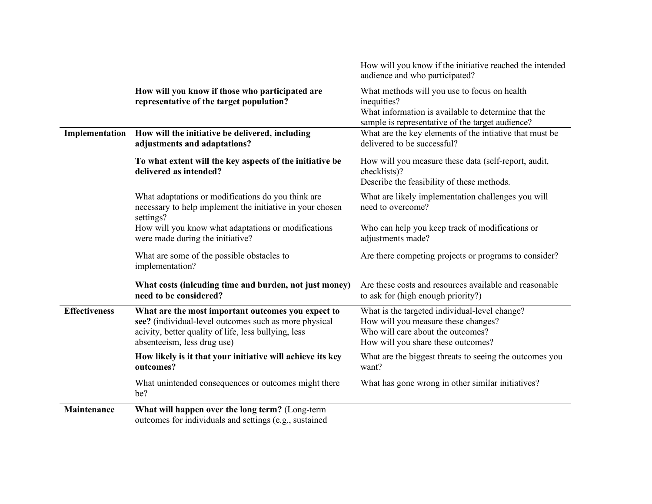|                      |                                                                                                                                                                                                    | How will you know if the initiative reached the intended<br>audience and who participated?                                                                             |
|----------------------|----------------------------------------------------------------------------------------------------------------------------------------------------------------------------------------------------|------------------------------------------------------------------------------------------------------------------------------------------------------------------------|
|                      | How will you know if those who participated are<br>representative of the target population?                                                                                                        | What methods will you use to focus on health<br>inequities?<br>What information is available to determine that the<br>sample is representative of the target audience? |
| Implementation       | How will the initiative be delivered, including<br>adjustments and adaptations?                                                                                                                    | What are the key elements of the intiative that must be<br>delivered to be successful?                                                                                 |
|                      | To what extent will the key aspects of the initiative be<br>delivered as intended?                                                                                                                 | How will you measure these data (self-report, audit,<br>checklists)?<br>Describe the feasibility of these methods.                                                     |
|                      | What adaptations or modifications do you think are<br>necessary to help implement the initiative in your chosen<br>settings?                                                                       | What are likely implementation challenges you will<br>need to overcome?                                                                                                |
|                      | How will you know what adaptations or modifications<br>were made during the initiative?                                                                                                            | Who can help you keep track of modifications or<br>adjustments made?                                                                                                   |
|                      | What are some of the possible obstacles to<br>implementation?                                                                                                                                      | Are there competing projects or programs to consider?                                                                                                                  |
|                      | What costs (inlcuding time and burden, not just money)<br>need to be considered?                                                                                                                   | Are these costs and resources available and reasonable<br>to ask for (high enough priority?)                                                                           |
| <b>Effectiveness</b> | What are the most important outcomes you expect to<br>see? (individual-level outcomes such as more physical<br>acivity, better quality of life, less bullying, less<br>absenteeism, less drug use) | What is the targeted individual-level change?<br>How will you measure these changes?<br>Who will care about the outcomes?<br>How will you share these outcomes?        |
|                      | How likely is it that your initiative will achieve its key<br>outcomes?                                                                                                                            | What are the biggest threats to seeing the outcomes you<br>want?                                                                                                       |
|                      | What unintended consequences or outcomes might there<br>be?                                                                                                                                        | What has gone wrong in other similar initiatives?                                                                                                                      |
| Maintenance          | What will happen over the long term? (Long-term<br>outcomes for individuals and settings (e.g., sustained                                                                                          |                                                                                                                                                                        |